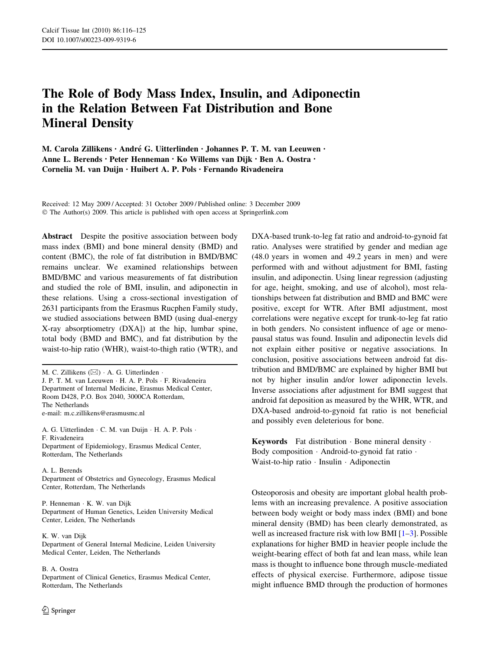# The Role of Body Mass Index, Insulin, and Adiponectin in the Relation Between Fat Distribution and Bone Mineral Density

M. Carola Zillikens · André G. Uitterlinden · Johannes P. T. M. van Leeuwen · Anne L. Berends • Peter Henneman • Ko Willems van Dijk • Ben A. Oostra • Cornelia M. van Duijn • Huibert A. P. Pols • Fernando Rivadeneira

Received: 12 May 2009 / Accepted: 31 October 2009 / Published online: 3 December 2009  $\odot$  The Author(s) 2009. This article is published with open access at Springerlink.com

Abstract Despite the positive association between body mass index (BMI) and bone mineral density (BMD) and content (BMC), the role of fat distribution in BMD/BMC remains unclear. We examined relationships between BMD/BMC and various measurements of fat distribution and studied the role of BMI, insulin, and adiponectin in these relations. Using a cross-sectional investigation of 2631 participants from the Erasmus Rucphen Family study, we studied associations between BMD (using dual-energy X-ray absorptiometry (DXA]) at the hip, lumbar spine, total body (BMD and BMC), and fat distribution by the waist-to-hip ratio (WHR), waist-to-thigh ratio (WTR), and

A. G. Uitterlinden  $\cdot$  C. M. van Duijn  $\cdot$  H. A. P. Pols  $\cdot$ F. Rivadeneira Department of Epidemiology, Erasmus Medical Center, Rotterdam, The Netherlands

A. L. Berends Department of Obstetrics and Gynecology, Erasmus Medical Center, Rotterdam, The Netherlands

P. Henneman · K. W. van Dijk Department of Human Genetics, Leiden University Medical Center, Leiden, The Netherlands

K. W. van Dijk Department of General Internal Medicine, Leiden University Medical Center, Leiden, The Netherlands

B. A. Oostra Department of Clinical Genetics, Erasmus Medical Center, Rotterdam, The Netherlands

DXA-based trunk-to-leg fat ratio and android-to-gynoid fat ratio. Analyses were stratified by gender and median age (48.0 years in women and 49.2 years in men) and were performed with and without adjustment for BMI, fasting insulin, and adiponectin. Using linear regression (adjusting for age, height, smoking, and use of alcohol), most relationships between fat distribution and BMD and BMC were positive, except for WTR. After BMI adjustment, most correlations were negative except for trunk-to-leg fat ratio in both genders. No consistent influence of age or menopausal status was found. Insulin and adiponectin levels did not explain either positive or negative associations. In conclusion, positive associations between android fat distribution and BMD/BMC are explained by higher BMI but not by higher insulin and/or lower adiponectin levels. Inverse associations after adjustment for BMI suggest that android fat deposition as measured by the WHR, WTR, and DXA-based android-to-gynoid fat ratio is not beneficial and possibly even deleterious for bone.

**Keywords** Fat distribution  $\cdot$  Bone mineral density  $\cdot$ Body composition · Android-to-gynoid fat ratio · Waist-to-hip ratio · Insulin · Adiponectin

Osteoporosis and obesity are important global health problems with an increasing prevalence. A positive association between body weight or body mass index (BMI) and bone mineral density (BMD) has been clearly demonstrated, as well as increased fracture risk with low BMI  $[1-3]$  $[1-3]$  $[1-3]$  $[1-3]$ . Possible explanations for higher BMD in heavier people include the weight-bearing effect of both fat and lean mass, while lean mass is thought to influence bone through muscle-mediated effects of physical exercise. Furthermore, adipose tissue might influence BMD through the production of hormones

M. C. Zillikens ( $\boxtimes$ ) · A. G. Uitterlinden · J. P. T. M. van Leeuwen · H. A. P. Pols · F. Rivadeneira Department of Internal Medicine, Erasmus Medical Center, Room D428, P.O. Box 2040, 3000CA Rotterdam, The Netherlands e-mail: m.c.zillikens@erasmusmc.nl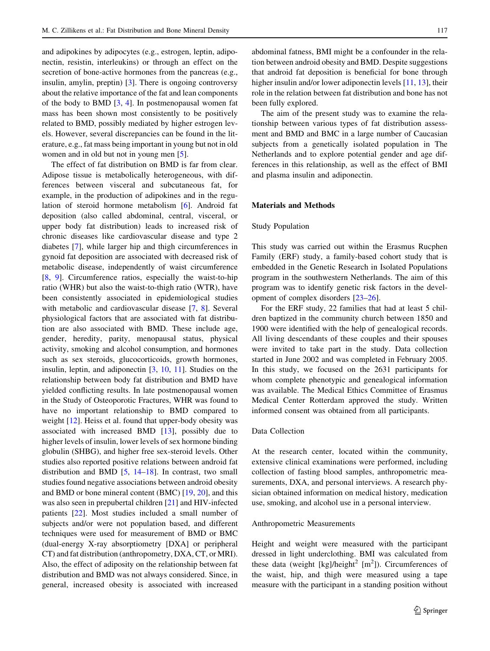and adipokines by adipocytes (e.g., estrogen, leptin, adiponectin, resistin, interleukins) or through an effect on the secretion of bone-active hormones from the pancreas (e.g., insulin, amylin, preptin) [[3\]](#page-8-0). There is ongoing controversy about the relative importance of the fat and lean components of the body to BMD  $[3, 4]$  $[3, 4]$  $[3, 4]$  $[3, 4]$  $[3, 4]$ . In postmenopausal women fat mass has been shown most consistently to be positively related to BMD, possibly mediated by higher estrogen levels. However, several discrepancies can be found in the literature, e.g., fat mass being important in young but not in old women and in old but not in young men [[5\]](#page-8-0).

The effect of fat distribution on BMD is far from clear. Adipose tissue is metabolically heterogeneous, with differences between visceral and subcutaneous fat, for example, in the production of adipokines and in the regulation of steroid hormone metabolism [\[6](#page-8-0)]. Android fat deposition (also called abdominal, central, visceral, or upper body fat distribution) leads to increased risk of chronic diseases like cardiovascular disease and type 2 diabetes [[7\]](#page-8-0), while larger hip and thigh circumferences in gynoid fat deposition are associated with decreased risk of metabolic disease, independently of waist circumference [\[8](#page-8-0), [9](#page-8-0)]. Circumference ratios, especially the waist-to-hip ratio (WHR) but also the waist-to-thigh ratio (WTR), have been consistently associated in epidemiological studies with metabolic and cardiovascular disease [[7,](#page-8-0) [8](#page-8-0)]. Several physiological factors that are associated with fat distribution are also associated with BMD. These include age, gender, heredity, parity, menopausal status, physical activity, smoking and alcohol consumption, and hormones such as sex steroids, glucocorticoids, growth hormones, insulin, leptin, and adiponectin [\[3](#page-8-0), [10](#page-8-0), [11](#page-8-0)]. Studies on the relationship between body fat distribution and BMD have yielded conflicting results. In late postmenopausal women in the Study of Osteoporotic Fractures, WHR was found to have no important relationship to BMD compared to weight [\[12](#page-8-0)]. Heiss et al. found that upper-body obesity was associated with increased BMD [[13\]](#page-8-0), possibly due to higher levels of insulin, lower levels of sex hormone binding globulin (SHBG), and higher free sex-steroid levels. Other studies also reported positive relations between android fat distribution and BMD [\[5](#page-8-0), [14](#page-8-0)[–18](#page-9-0)]. In contrast, two small studies found negative associations between android obesity and BMD or bone mineral content (BMC) [[19,](#page-9-0) [20\]](#page-9-0), and this was also seen in prepubertal children [[21\]](#page-9-0) and HIV-infected patients [[22\]](#page-9-0). Most studies included a small number of subjects and/or were not population based, and different techniques were used for measurement of BMD or BMC (dual-energy X-ray absorptiometry [DXA] or peripheral CT) and fat distribution (anthropometry, DXA, CT, or MRI). Also, the effect of adiposity on the relationship between fat distribution and BMD was not always considered. Since, in general, increased obesity is associated with increased

abdominal fatness, BMI might be a confounder in the relation between android obesity and BMD. Despite suggestions that android fat deposition is beneficial for bone through higher insulin and/or lower adiponectin levels [\[11](#page-8-0), [13\]](#page-8-0), their role in the relation between fat distribution and bone has not been fully explored.

The aim of the present study was to examine the relationship between various types of fat distribution assessment and BMD and BMC in a large number of Caucasian subjects from a genetically isolated population in The Netherlands and to explore potential gender and age differences in this relationship, as well as the effect of BMI and plasma insulin and adiponectin.

# Materials and Methods

## Study Population

This study was carried out within the Erasmus Rucphen Family (ERF) study, a family-based cohort study that is embedded in the Genetic Research in Isolated Populations program in the southwestern Netherlands. The aim of this program was to identify genetic risk factors in the development of complex disorders [\[23–26](#page-9-0)].

For the ERF study, 22 families that had at least 5 children baptized in the community church between 1850 and 1900 were identified with the help of genealogical records. All living descendants of these couples and their spouses were invited to take part in the study. Data collection started in June 2002 and was completed in February 2005. In this study, we focused on the 2631 participants for whom complete phenotypic and genealogical information was available. The Medical Ethics Committee of Erasmus Medical Center Rotterdam approved the study. Written informed consent was obtained from all participants.

# Data Collection

At the research center, located within the community, extensive clinical examinations were performed, including collection of fasting blood samples, anthropometric measurements, DXA, and personal interviews. A research physician obtained information on medical history, medication use, smoking, and alcohol use in a personal interview.

# Anthropometric Measurements

Height and weight were measured with the participant dressed in light underclothing. BMI was calculated from these data (weight [kg]/height<sup>2</sup> [m<sup>2</sup>]). Circumferences of the waist, hip, and thigh were measured using a tape measure with the participant in a standing position without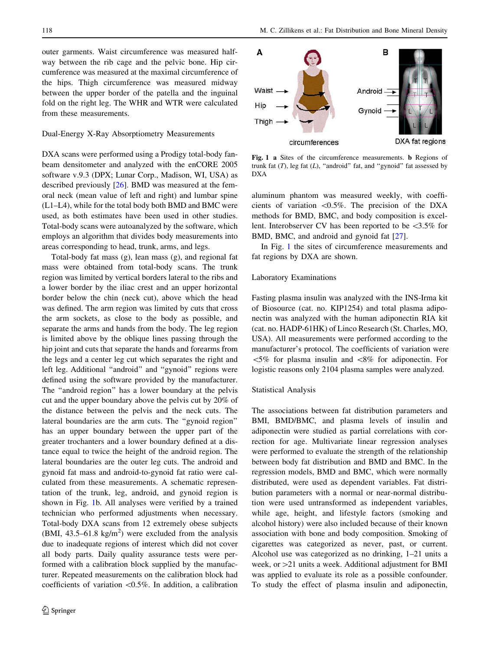outer garments. Waist circumference was measured halfway between the rib cage and the pelvic bone. Hip circumference was measured at the maximal circumference of the hips. Thigh circumference was measured midway between the upper border of the patella and the inguinal fold on the right leg. The WHR and WTR were calculated from these measurements.

## Dual-Energy X-Ray Absorptiometry Measurements

DXA scans were performed using a Prodigy total-body fanbeam densitometer and analyzed with the enCORE 2005 software v.9.3 (DPX; Lunar Corp., Madison, WI, USA) as described previously [[26\]](#page-9-0). BMD was measured at the femoral neck (mean value of left and right) and lumbar spine (L1–L4), while for the total body both BMD and BMC were used, as both estimates have been used in other studies. Total-body scans were autoanalyzed by the software, which employs an algorithm that divides body measurements into areas corresponding to head, trunk, arms, and legs.

Total-body fat mass (g), lean mass (g), and regional fat mass were obtained from total-body scans. The trunk region was limited by vertical borders lateral to the ribs and a lower border by the iliac crest and an upper horizontal border below the chin (neck cut), above which the head was defined. The arm region was limited by cuts that cross the arm sockets, as close to the body as possible, and separate the arms and hands from the body. The leg region is limited above by the oblique lines passing through the hip joint and cuts that separate the hands and forearms from the legs and a center leg cut which separates the right and left leg. Additional "android" and "gynoid" regions were defined using the software provided by the manufacturer. The ''android region'' has a lower boundary at the pelvis cut and the upper boundary above the pelvis cut by 20% of the distance between the pelvis and the neck cuts. The lateral boundaries are the arm cuts. The ''gynoid region'' has an upper boundary between the upper part of the greater trochanters and a lower boundary defined at a distance equal to twice the height of the android region. The lateral boundaries are the outer leg cuts. The android and gynoid fat mass and android-to-gynoid fat ratio were calculated from these measurements. A schematic representation of the trunk, leg, android, and gynoid region is shown in Fig. 1b. All analyses were verified by a trained technician who performed adjustments when necessary. Total-body DXA scans from 12 extremely obese subjects (BMI,  $43.5-61.8 \text{ kg/m}^2$ ) were excluded from the analysis due to inadequate regions of interest which did not cover all body parts. Daily quality assurance tests were performed with a calibration block supplied by the manufacturer. Repeated measurements on the calibration block had coefficients of variation  $\langle 0.5\% \rangle$ . In addition, a calibration



Fig. 1 a Sites of the circumference measurements. b Regions of trunk fat  $(T)$ , leg fat  $(L)$ , "android" fat, and "gynoid" fat assessed by DXA

aluminum phantom was measured weekly, with coefficients of variation  $\langle 0.5\% \rangle$ . The precision of the DXA methods for BMD, BMC, and body composition is excellent. Interobserver CV has been reported to be \3.5% for BMD, BMC, and android and gynoid fat [\[27](#page-9-0)].

In Fig. 1 the sites of circumference measurements and fat regions by DXA are shown.

# Laboratory Examinations

Fasting plasma insulin was analyzed with the INS-Irma kit of Biosource (cat. no. KIP1254) and total plasma adiponectin was analyzed with the human adiponectin RIA kit (cat. no. HADP-61HK) of Linco Research (St. Charles, MO, USA). All measurements were performed according to the manufacturer's protocol. The coefficients of variation were  $\leq$ 5% for plasma insulin and  $\leq$ 8% for adiponectin. For logistic reasons only 2104 plasma samples were analyzed.

# Statistical Analysis

The associations between fat distribution parameters and BMI, BMD/BMC, and plasma levels of insulin and adiponectin were studied as partial correlations with correction for age. Multivariate linear regression analyses were performed to evaluate the strength of the relationship between body fat distribution and BMD and BMC. In the regression models, BMD and BMC, which were normally distributed, were used as dependent variables. Fat distribution parameters with a normal or near-normal distribution were used untransformed as independent variables, while age, height, and lifestyle factors (smoking and alcohol history) were also included because of their known association with bone and body composition. Smoking of cigarettes was categorized as never, past, or current. Alcohol use was categorized as no drinking, 1–21 units a week, or  $>$ 21 units a week. Additional adjustment for BMI was applied to evaluate its role as a possible confounder. To study the effect of plasma insulin and adiponectin,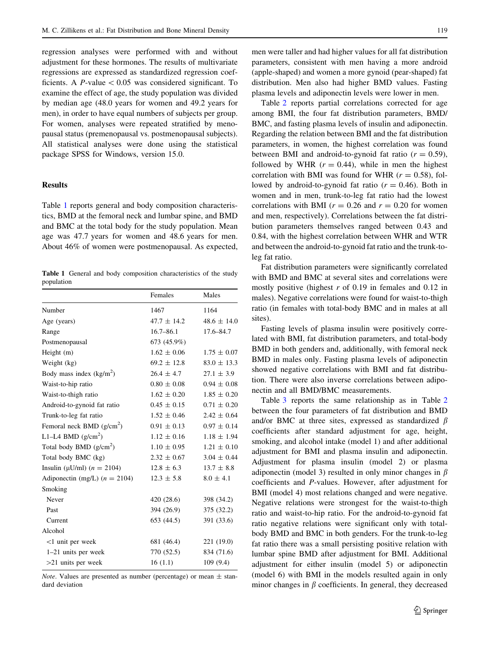regression analyses were performed with and without adjustment for these hormones. The results of multivariate regressions are expressed as standardized regression coefficients. A P-value  $\lt$  0.05 was considered significant. To examine the effect of age, the study population was divided by median age (48.0 years for women and 49.2 years for men), in order to have equal numbers of subjects per group. For women, analyses were repeated stratified by menopausal status (premenopausal vs. postmenopausal subjects). All statistical analyses were done using the statistical package SPSS for Windows, version 15.0.

# **Results**

Table 1 reports general and body composition characteristics, BMD at the femoral neck and lumbar spine, and BMD and BMC at the total body for the study population. Mean age was 47.7 years for women and 48.6 years for men. About 46% of women were postmenopausal. As expected,

Table 1 General and body composition characteristics of the study population

|                                      | Females         | Males           |
|--------------------------------------|-----------------|-----------------|
| Number                               | 1467            | 1164            |
| Age (years)                          | $47.7 \pm 14.2$ | $48.6 \pm 14.0$ |
| Range                                | $16.7 - 86.1$   | 17.6–84.7       |
| Postmenopausal                       | 673 (45.9%)     |                 |
| Height (m)                           | $1.62 \pm 0.06$ | $1.75 \pm 0.07$ |
| Weight (kg)                          | $69.2 \pm 12.8$ | $83.0 \pm 13.3$ |
| Body mass index $(kg/m2)$            | $26.4 \pm 4.7$  | $27.1 \pm 3.9$  |
| Waist-to-hip ratio                   | $0.80 \pm 0.08$ | $0.94 \pm 0.08$ |
| Waist-to-thigh ratio                 | $1.62 \pm 0.20$ | $1.85 \pm 0.20$ |
| Android-to-gynoid fat ratio          | $0.45 \pm 0.15$ | $0.71 \pm 0.20$ |
| Trunk-to-leg fat ratio               | $1.52 \pm 0.46$ | $2.42 \pm 0.64$ |
| Femoral neck BMD $(g/cm^2)$          | $0.91 \pm 0.13$ | $0.97 \pm 0.14$ |
| L1-L4 BMD $(g/cm2)$                  | $1.12 \pm 0.16$ | $1.18 \pm 1.94$ |
| Total body BMD $(g/cm^2)$            | $1.10 \pm 0.95$ | $1.21 \pm 0.10$ |
| Total body BMC (kg)                  | $2.32 \pm 0.67$ | $3.04 \pm 0.44$ |
| Insulin ( $\mu$ U/ml) ( $n = 2104$ ) | $12.8 \pm 6.3$  | $13.7 \pm 8.8$  |
| Adiponectin (mg/L) $(n = 2104)$      | $12.3 \pm 5.8$  | $8.0 \pm 4.1$   |
| Smoking                              |                 |                 |
| Never                                | 420 (28.6)      | 398 (34.2)      |
| Past                                 | 394 (26.9)      | 375 (32.2)      |
| Current                              | 653 (44.5)      | 391 (33.6)      |
| Alcohol                              |                 |                 |
| $<$ 1 unit per week                  | 681 (46.4)      | 221 (19.0)      |
| 1-21 units per week                  | 770 (52.5)      | 834 (71.6)      |
| $>21$ units per week                 | 16(1.1)         | 109(9.4)        |
|                                      |                 |                 |

*Note*. Values are presented as number (percentage) or mean  $\pm$  standard deviation

men were taller and had higher values for all fat distribution parameters, consistent with men having a more android (apple-shaped) and women a more gynoid (pear-shaped) fat distribution. Men also had higher BMD values. Fasting plasma levels and adiponectin levels were lower in men.

Table [2](#page-4-0) reports partial correlations corrected for age among BMI, the four fat distribution parameters, BMD/ BMC, and fasting plasma levels of insulin and adiponectin. Regarding the relation between BMI and the fat distribution parameters, in women, the highest correlation was found between BMI and android-to-gynoid fat ratio  $(r = 0.59)$ , followed by WHR  $(r = 0.44)$ , while in men the highest correlation with BMI was found for WHR ( $r = 0.58$ ), followed by android-to-gynoid fat ratio  $(r = 0.46)$ . Both in women and in men, trunk-to-leg fat ratio had the lowest correlations with BMI ( $r = 0.26$  and  $r = 0.20$  for women and men, respectively). Correlations between the fat distribution parameters themselves ranged between 0.43 and 0.84, with the highest correlation between WHR and WTR and between the android-to-gynoid fat ratio and the trunk-toleg fat ratio.

Fat distribution parameters were significantly correlated with BMD and BMC at several sites and correlations were mostly positive (highest  $r$  of 0.19 in females and 0.12 in males). Negative correlations were found for waist-to-thigh ratio (in females with total-body BMC and in males at all sites).

Fasting levels of plasma insulin were positively correlated with BMI, fat distribution parameters, and total-body BMD in both genders and, additionally, with femoral neck BMD in males only. Fasting plasma levels of adiponectin showed negative correlations with BMI and fat distribution. There were also inverse correlations between adiponectin and all BMD/BMC measurements.

Table [3](#page-5-0) reports the same relationship as in Table [2](#page-4-0) between the four parameters of fat distribution and BMD and/or BMC at three sites, expressed as standardized  $\beta$ coefficients after standard adjustment for age, height, smoking, and alcohol intake (model 1) and after additional adjustment for BMI and plasma insulin and adiponectin. Adjustment for plasma insulin (model 2) or plasma adiponectin (model 3) resulted in only minor changes in  $\beta$ coefficients and P-values. However, after adjustment for BMI (model 4) most relations changed and were negative. Negative relations were strongest for the waist-to-thigh ratio and waist-to-hip ratio. For the android-to-gynoid fat ratio negative relations were significant only with totalbody BMD and BMC in both genders. For the trunk-to-leg fat ratio there was a small persisting positive relation with lumbar spine BMD after adjustment for BMI. Additional adjustment for either insulin (model 5) or adiponectin (model 6) with BMI in the models resulted again in only minor changes in  $\beta$  coefficients. In general, they decreased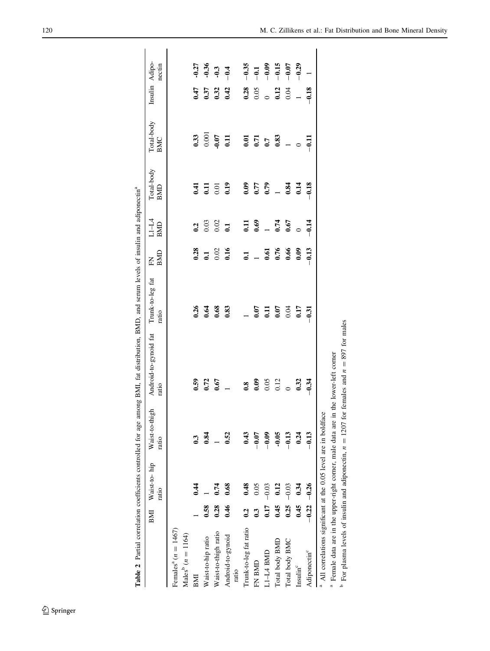<span id="page-4-0"></span>

|                                                                             | BMI             | Waist-to-hip<br>ratio | Waist-to-thigh<br>ratio | Android-to-gynoid fat Trunk-to-leg fat<br>ratio | ratio                      | $\mathbb{R}^{\mathbb{R}}$                      | $L1-L4$ BMD                                                                                       | Total-body<br>BMD                                  | Total-body<br>BMC                                                     | Insulin Adipo-                                                       | nectin                                             |
|-----------------------------------------------------------------------------|-----------------|-----------------------|-------------------------|-------------------------------------------------|----------------------------|------------------------------------------------|---------------------------------------------------------------------------------------------------|----------------------------------------------------|-----------------------------------------------------------------------|----------------------------------------------------------------------|----------------------------------------------------|
| Females <sup>a</sup> $(n = 1467)$                                           |                 |                       |                         |                                                 |                            |                                                |                                                                                                   |                                                    |                                                                       |                                                                      |                                                    |
| Males <sup><math>P</math></sup> ( $n = 1164$ )                              |                 |                       |                         |                                                 |                            |                                                |                                                                                                   |                                                    |                                                                       |                                                                      |                                                    |
| BMI                                                                         |                 | 0.44                  | $\ddot{\phantom{0}}$    |                                                 |                            |                                                |                                                                                                   |                                                    |                                                                       |                                                                      |                                                    |
| Waist-to-hip ratio                                                          | 0.58            |                       | 0.84                    | $0.59$<br>$0.72$<br>$0.67$<br>$1$               |                            | $\frac{0.28}{0.10}$                            |                                                                                                   | 41<br>0.0<br>0.9<br>0.9                            |                                                                       | $0.37$<br>$0.32$<br>$0.42$                                           |                                                    |
| Waist-to-thigh ratio                                                        | 0.28            | 0.74                  |                         |                                                 |                            |                                                |                                                                                                   |                                                    |                                                                       |                                                                      |                                                    |
| Android-to-gynoid<br>ratio                                                  | 0.46            | 0.68                  | 0.52                    |                                                 | $0.36$<br>$0.68$<br>$0.83$ |                                                | $\begin{array}{c} 0.2 \\ 0.03 \\ 0.02 \\ 0.1 \end{array}$                                         |                                                    | $\begin{array}{c} 0.33 \\ 0.001 \\ -0.07 \\ 0.11 \end{array}$         |                                                                      | $-0.36$<br>$-0.36$<br>$-0.3$                       |
| Trunk-to-leg fat ratio                                                      | 0.2             | 0.48                  | 0.43                    |                                                 |                            |                                                |                                                                                                   |                                                    |                                                                       |                                                                      |                                                    |
| FN BMD                                                                      | $\ddot{\bm{0}}$ | 0.05                  | $-0.07$                 |                                                 |                            |                                                |                                                                                                   |                                                    |                                                                       |                                                                      |                                                    |
| $L1 - L4$ BMD                                                               | 0.17            | $-0.03$               | $-0.09$                 | $0.09$<br>$0.05$<br>$0.12$<br>$0.32$<br>$0.34$  |                            | $0.1$<br>$-0.61$<br>$0.76$<br>$0.66$<br>$0.09$ | $\begin{bmatrix} 11.6 \\ 0.69 \\ 1 & 0.67 \\ 0.67 \\ 0.67 \\ 0.67 \\ 0.114 \\ 0.01 \end{bmatrix}$ | $9.50$<br>$-3.50$<br>$-3.50$<br>$-1.50$<br>$-1.50$ | $\begin{bmatrix} 0.01 \\ 0.71 \\ 0.33 \\ 0.83 \\ -0.03 \end{bmatrix}$ | $\begin{array}{c} 0.28 \\ 0.05 \\ 0.12 \\ 0.04 \\ -0.18 \end{array}$ | $-0.35$<br>$-0.1$<br>$-0.09$<br>$-0.15$<br>$-0.15$ |
| Total body BMD                                                              | 0.45            | 0.12                  | $-0.05$                 |                                                 |                            |                                                |                                                                                                   |                                                    |                                                                       |                                                                      |                                                    |
| Total body BMC                                                              |                 | $0.25 - 0.03$         | $-0.13$                 |                                                 |                            |                                                |                                                                                                   |                                                    |                                                                       |                                                                      |                                                    |
| Insulin <sup>c</sup>                                                        | 0.45            | 0.34                  | 0.24                    |                                                 |                            |                                                |                                                                                                   |                                                    |                                                                       |                                                                      | $-0.29$                                            |
| Adiponectin <sup>c</sup>                                                    |                 | $-0.22 - 0.26$        | $-0.13$                 |                                                 | $-0.31$                    | $-0.13$                                        |                                                                                                   | $-0.18$                                            | $-0.11$                                                               |                                                                      |                                                    |
| <sup>a</sup> All correlations significant at the 0.05 level are in boldface |                 |                       |                         |                                                 |                            |                                                |                                                                                                   |                                                    |                                                                       |                                                                      |                                                    |

Table 2 Partial correlation coefficients controlled for age among BMI, fat distribution, BMD, and serum levels of insulin and adiponectin<sup>a</sup> Table 2 Partial correlation coefficients controlled for age among BMI, fat distribution, BMD, and serum levels of insulin and adiponectina

<sup>a</sup> Female data are in the upper-right corner, male data are in the lower-left corner Female data are in the upper-right corner, male data are in the lower-left corner

 $\frac{b}{n}$  For plasma levels of insulin and adiponectin,  $n = 1207$  for females and  $n = 897$  for males <sup>b</sup> For plasma levels of insulin and adiponectin,  $n = 1207$  for females and  $n = 897$  for males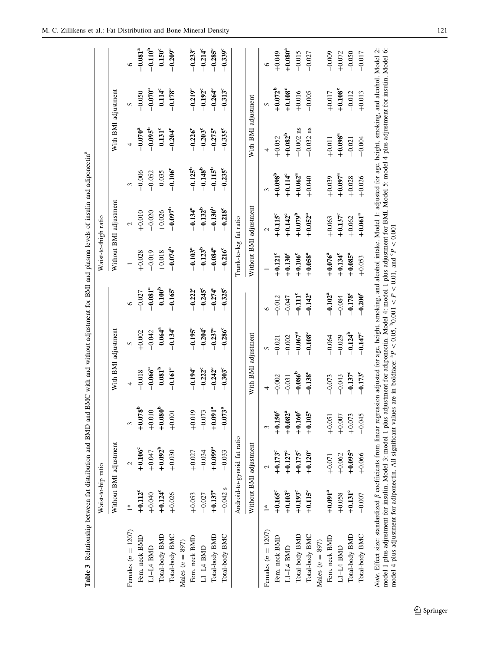<span id="page-5-0"></span>

|                      | Waist-to-hip ratio    |                             |                       |                          |                     |                       |                        | Waist-to-thigh ratio   |                  |                       |                     |                       |
|----------------------|-----------------------|-----------------------------|-----------------------|--------------------------|---------------------|-----------------------|------------------------|------------------------|------------------|-----------------------|---------------------|-----------------------|
|                      |                       | Without BMI adjustment      |                       |                          | With BMI adjustment |                       |                        | Without BMI adjustment |                  |                       | With BMI adjustment |                       |
| Females $(n = 1207)$ | $\ddot{ }$            |                             |                       | 4                        | 5                   |                       |                        | $\mathcal{L}$          |                  | 4                     | 5                   |                       |
| Fem. neck BMD        | $+0.112^c$            | $+0.106^c$                  | $+0.078^{b}$          | $-0.018$                 | $+0.002$            | $-0.027$              | $+0.028$               | $+0.010$               | $-0.006$         | $-0.070^{a}$          | $-0.050$            | $-0.081^{a}$          |
| L1-L4 BMD            | $+0.040$              | $+0.047$                    | $+0.010$              | $-0.066^a$               | $-0.042$            | $-0.081^{a}$          | $-0.019$               | $-0.020$               | $-0.052$         | $-0.095^{b}$          | $-0.070^{a}$        | $-0.110^{b}$          |
| Total-body BMD       | $+0.124^c$            | $+0.092^{b}$                | $+0.080^{\mathrm{b}}$ | $-0.081$ $^{\mathrm{b}}$ | $-0.064^a$          | $-0.100^{\mathrm{b}}$ | $+0.018$               | $+0.026$               | $-0.035$         | $-0.131$ <sup>c</sup> | $-0.114^c$          | $-0.150^c$            |
| Total-body BMC       | $+0.026$              | $+0.030$                    | $+0.001$              | $-0.161^c$               | $-0.134^{\circ}$    | $-0.165^c$            | $-0.074^{b}$           | $-0.097^{\rm b}$       | $-0.106^{\circ}$ | $-0.204^c$            | $-0.178^c$          | $-0.209^{\circ}$      |
| Males $(n = 897)$    |                       |                             |                       |                          |                     |                       |                        |                        |                  |                       |                     |                       |
| Fem. neck BMD        | $+0.053$              | $+0.027$                    | $+0.019$              | $-0.194^c$               | $-0.195^c$          | $-0.222^c$            | $-0.103^{a}$           | $-0.134^{a}$           | $-0.125^{b}$     | $-0.226^c$            | $-0.219^c$          | $-0.233$ <sup>c</sup> |
| L1-L4 BMD            | $-0.027$              | $-0.034$                    | $-0.073$              | $-0.222^c$               | $-0.204^c$          | $-0.245^c$            | $-0.123^{b}$           | $-0.132^{b}$           | $-0.148^{b}$     | $-0.203^c$            | $-0.192^c$          | $-0.214^c$            |
| Total-body BMD       | $+0.137^c$            | $+0.099^a$                  | $+0.091$ <sup>a</sup> | $-0.242^{\circ}$         | $-0.237^c$          | $-0.274^c$            | $-0.084$ <sup>a</sup>  | $-0.130^{b}$           | $-0.115^{b}$     | $-0.275^c$            | $-0.264^c$          | $-0.285^c$            |
| Total-body BMC       | $-0.042$ s            | $-0.033$                    | $-0.073^{a}$          | $-0.303^c$               | $-0.286^c$          | $-0.325^c$            | $-0.216^c$             | $-0.218^c$             | $-0.235^c$       | $-0.335^{c}$          | $-0.313^c$          | $-0.339^c$            |
|                      |                       | Android-to-gynoid fat ratio |                       |                          |                     |                       | Trunk-to-leg fat ratio |                        |                  |                       |                     |                       |
|                      |                       | Without BMI adjustment      |                       | With BMI adjustment      |                     |                       |                        | Without BMI adjustment |                  | With BMI adjustment   |                     |                       |
| Females $(n = 1207)$ | $\stackrel{*}{\cdot}$ |                             |                       | 4                        | 5                   |                       |                        |                        |                  | 4                     | 5                   | $\circ$               |
| Fem. neck BMD        | $+0.165^c$            | $+0.173^c$                  | $+0.150^{\circ}$      | $-0.002$                 | $-0.021$            | $-0.012$              | $+0.121^c$             | $+0.115^c$             | $+0.098^{b}$     | $+0.052$              | $+0.072^{b}$        | $+0.049$              |
| $L1-L4$ BMD          | $+0.103^c$            | $+0.127^c$                  | $+0.082$              | $-0.031$                 | $-0.002$            | $-0.047$              | $+0.130^c$             | $+0.142^c$             | $+0.114^{\circ}$ | $+0.082^{b}$          | $+0.108^c$          | $+0.080^{a}$          |
| Total-body BMD       | $+0.193^c$            | $+0.175^c$                  | $+0.160^{\circ}$      | $-0.086^{\mathrm{b}}$    | $-0.067^{\rm a}$    | $-0.111^c$            | $+0.106^c$             | $+0.079^{\rm b}$       | $+0.062^{a}$     | $-0.002$ ns           | $+0.016$            | $-0.015$              |
| Total-body BMC       | $+0.115^c$            | $+0.120^{\circ}$            | $+0.105$              | $-0.138^{\circ}$         | $-0.108^c$          | $-0.142^{\circ}$      | $+0.058^{a}$           | $+0.052^a$             | $+0.040$         | $-0.032$ ns           | $-0.005$            | $-0.027$              |
| Males $(n = 897)$    |                       |                             |                       |                          |                     |                       |                        |                        |                  |                       |                     |                       |
| Fem. neck BMD        | $+0.091$ <sup>a</sup> | $+0.071$                    | $+0.051$              | $-0.073$                 | $-0.064$            | $-0.102^{a}$          | $+0.076^{a}$           | $+0.063$               | $+0.039$         | $+0.011$              | $+0.017$            | $-0.009$              |
| $L1 - L4$ BMD        | $+0.058$              | $+0.062$                    | $+0.007$              | $-0.043$                 | $-0.029$            | $-0.084$              | $+0.134^c$             | $+0.137^c$             | $+0.097^a$       | $+0.098^{\rm a}$      | $+0.108^c$          | $+0.072$              |
| Total-body BMD       | $+0.131^c$            | $+0.095^{a}$                | $+0.073$              | $-0.137^c$               | $-0.124^{b}$        | $-0.178^c$            | $+0.085^{a}$           | $+0.062$               | $+0.028$         | $-0.021$              | $-0.012$            | $-0.050$              |
| Total-body BMC       | $-0.007$              | $+0.066$                    | $-0.045$              | $-0.173^{\circ}$         | $-0.147^c$          | $-0.200^{\circ}$      | $+0.053$               | $+0.061$ <sup>a</sup>  | $+0.026$         | $-0.004$              | $+0.013$            | $-0.017$              |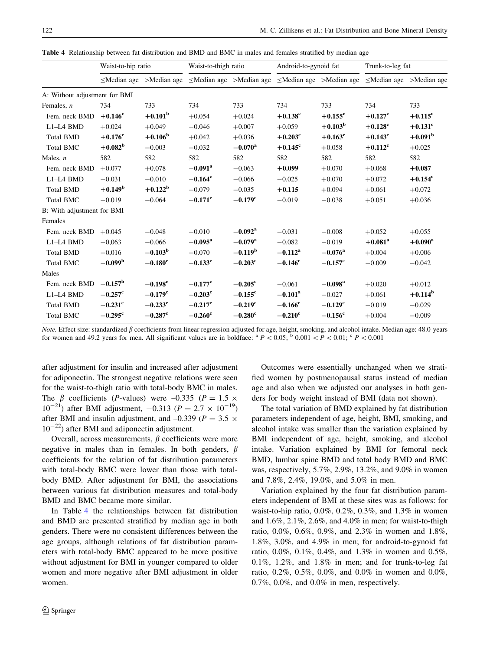|  | Table 4 Relationship between fat distribution and BMD and BMC in males and females stratified by median age |  |  |  |  |  |  |  |  |
|--|-------------------------------------------------------------------------------------------------------------|--|--|--|--|--|--|--|--|
|--|-------------------------------------------------------------------------------------------------------------|--|--|--|--|--|--|--|--|

|                               | Waist-to-hip ratio    |                       | Waist-to-thigh ratio  |                       | Android-to-gynoid fat                                                                           |                       | Trunk-to-leg fat      |                  |
|-------------------------------|-----------------------|-----------------------|-----------------------|-----------------------|-------------------------------------------------------------------------------------------------|-----------------------|-----------------------|------------------|
|                               |                       |                       |                       |                       | ≤Median age >Median age ≤Median age >Median age ≤Median age >Median age ≤Median age >Median age |                       |                       |                  |
| A: Without adjustment for BMI |                       |                       |                       |                       |                                                                                                 |                       |                       |                  |
| Females, $n$                  | 734                   | 733                   | 734                   | 733                   | 734                                                                                             | 733                   | 734                   | 733              |
| Fem. neck BMD                 | $+0.146^{\circ}$      | $+0.101^{\rm b}$      | $+0.054$              | $+0.024$              | $+0.138^{\circ}$                                                                                | $+0.155^{\circ}$      | $+0.127^{\circ}$      | $+0.115^{\circ}$ |
| L1-L4 BMD                     | $+0.024$              | $+0.049$              | $-0.046$              | $+0.007$              | $+0.059$                                                                                        | $+0.103^b$            | $+0.128^{\circ}$      | $+0.131^{\circ}$ |
| <b>Total BMD</b>              | $+0.176^{\circ}$      | $+0.106^{\rm b}$      | $+0.042$              | $+0.036$              | $+0.203^{\circ}$                                                                                | $+0.163^{\circ}$      | $+0.143^{\circ}$      | $+0.091^{\rm b}$ |
| <b>Total BMC</b>              | $+0.082^{\rm b}$      | $-0.003$              | $-0.032$              | $-0.070^{\rm a}$      | $+0.145^{\circ}$                                                                                | $+0.058$              | $+0.112^{\circ}$      | $+0.025$         |
| Males, $n$                    | 582                   | 582                   | 582                   | 582                   | 582                                                                                             | 582                   | 582                   | 582              |
| Fem. neck BMD                 | $+0.077$              | $+0.078$              | $-0.091$ <sup>a</sup> | $-0.063$              | $+0.099$                                                                                        | $+0.070$              | $+0.068$              | $+0.087$         |
| L1-L4 BMD                     | $-0.031$              | $-0.010$              | $-0.164^{\circ}$      | $-0.066$              | $-0.025$                                                                                        | $+0.070$              | $+0.072$              | $+0.154^{\circ}$ |
| <b>Total BMD</b>              | $+0.149^{\rm b}$      | $+0.122^b$            | $-0.079$              | $-0.035$              | $+0.115$                                                                                        | $+0.094$              | $+0.061$              | $+0.072$         |
| <b>Total BMC</b>              | $-0.019$              | $-0.064$              | $-0.171$ <sup>c</sup> | $-0.179^{\rm c}$      | $-0.019$                                                                                        | $-0.038$              | $+0.051$              | $+0.036$         |
| B: With adjustment for BMI    |                       |                       |                       |                       |                                                                                                 |                       |                       |                  |
| Females                       |                       |                       |                       |                       |                                                                                                 |                       |                       |                  |
| Fem. neck BMD                 | $+0.045$              | $-0.048$              | $-0.010$              | $-0.092^{\rm a}$      | $-0.031$                                                                                        | $-0.008$              | $+0.052$              | $+0.055$         |
| L1-L4 BMD                     | $-0.063$              | $-0.066$              | $-0.095^{\rm a}$      | $-0.079^{\rm a}$      | $-0.082$                                                                                        | $-0.019$              | $+0.081$ <sup>a</sup> | $+0.090^{\rm a}$ |
| <b>Total BMD</b>              | $-0.016$              | $-0.103^b$            | $-0.070$              | $-0.119b$             | $-0.112^{\rm a}$                                                                                | $-0.076^{\rm a}$      | $+0.004$              | $+0.006$         |
| <b>Total BMC</b>              | $-0.099b$             | $-0.180^{\circ}$      | $-0.133^{\rm c}$      | $-0.203^{\rm c}$      | $-0.146^{\rm c}$                                                                                | $-0.157^{\rm c}$      | $-0.009$              | $-0.042$         |
| Males                         |                       |                       |                       |                       |                                                                                                 |                       |                       |                  |
| Fem. neck BMD                 | $-0.157^{\rm b}$      | $-0.198^c$            | $-0.177^{\rm c}$      | $-0.205^{\rm c}$      | $-0.061$                                                                                        | $-0.098$ <sup>a</sup> | $+0.020$              | $+0.012$         |
| L1-L4 BMD                     | $-0.257$ <sup>c</sup> | $-0.179^{\rm c}$      | $-0.203^{\rm c}$      | $-0.155^{\circ}$      | $-0.101^{\rm a}$                                                                                | $-0.027$              | $+0.061$              | $+0.114^b$       |
| <b>Total BMD</b>              | $-0.231$ <sup>c</sup> | $-0.233^{\rm c}$      | $-0.217^{\rm c}$      | $-0.219^{\rm c}$      | $-0.166$ <sup>c</sup>                                                                           | $-0.129^{\circ}$      | $-0.019$              | $-0.029$         |
| <b>Total BMC</b>              | $-0.295$ <sup>c</sup> | $-0.287$ <sup>c</sup> | $-0.260$ <sup>c</sup> | $-0.280$ <sup>c</sup> | $-0.210^{\circ}$                                                                                | $-0.156^c$            | $+0.004$              | $-0.009$         |

Note. Effect size: standardized  $\beta$  coefficients from linear regression adjusted for age, height, smoking, and alcohol intake. Median age: 48.0 years for women and 49.2 years for men. All significant values are in boldface:  $a \cdot P < 0.05$ ;  $b \cdot 0.001 < P < 0.01$ ;  $c \cdot P < 0.001$ 

after adjustment for insulin and increased after adjustment for adiponectin. The strongest negative relations were seen for the waist-to-thigh ratio with total-body BMC in males. The  $\beta$  coefficients (P-values) were -0.335 (P = 1.5  $\times$  $10^{-21}$ ) after BMI adjustment,  $-0.313$  ( $P = 2.7 \times 10^{-19}$ ) after BMI and insulin adjustment, and  $-0.339$  ( $P = 3.5 \times$  $10^{-22}$ ) after BMI and adiponectin adjustment.

Overall, across measurements,  $\beta$  coefficients were more negative in males than in females. In both genders,  $\beta$ coefficients for the relation of fat distribution parameters with total-body BMC were lower than those with totalbody BMD. After adjustment for BMI, the associations between various fat distribution measures and total-body BMD and BMC became more similar.

In Table 4 the relationships between fat distribution and BMD are presented stratified by median age in both genders. There were no consistent differences between the age groups, although relations of fat distribution parameters with total-body BMC appeared to be more positive without adjustment for BMI in younger compared to older women and more negative after BMI adjustment in older women.

Outcomes were essentially unchanged when we stratified women by postmenopausal status instead of median age and also when we adjusted our analyses in both genders for body weight instead of BMI (data not shown).

The total variation of BMD explained by fat distribution parameters independent of age, height, BMI, smoking, and alcohol intake was smaller than the variation explained by BMI independent of age, height, smoking, and alcohol intake. Variation explained by BMI for femoral neck BMD, lumbar spine BMD and total body BMD and BMC was, respectively, 5.7%, 2.9%, 13.2%, and 9.0% in women and 7.8%, 2.4%, 19.0%, and 5.0% in men.

Variation explained by the four fat distribution parameters independent of BMI at these sites was as follows: for waist-to-hip ratio, 0.0%, 0.2%, 0.3%, and 1.3% in women and 1.6%, 2.1%, 2.6%, and 4.0% in men; for waist-to-thigh ratio, 0.0%, 0.6%, 0.9%, and 2.3% in women and 1.8%, 1.8%, 3.0%, and 4.9% in men; for android-to-gynoid fat ratio, 0.0%, 0.1%, 0.4%, and 1.3% in women and 0.5%, 0.1%, 1.2%, and 1.8% in men; and for trunk-to-leg fat ratio, 0.2%, 0.5%, 0.0%, and 0.0% in women and 0.0%, 0.7%, 0.0%, and 0.0% in men, respectively.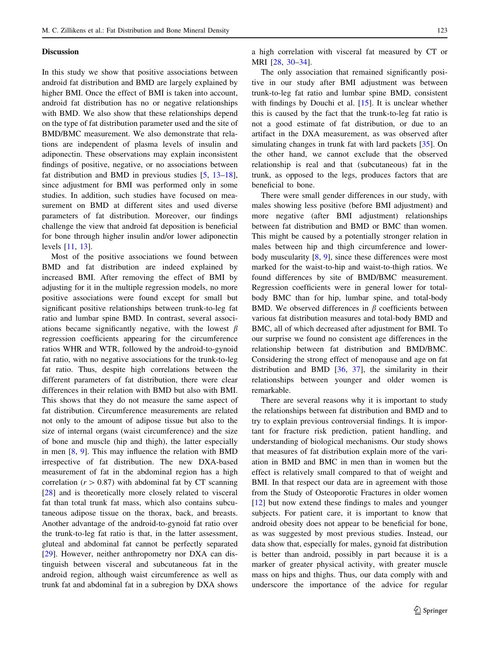## **Discussion**

In this study we show that positive associations between android fat distribution and BMD are largely explained by higher BMI. Once the effect of BMI is taken into account, android fat distribution has no or negative relationships with BMD. We also show that these relationships depend on the type of fat distribution parameter used and the site of BMD/BMC measurement. We also demonstrate that relations are independent of plasma levels of insulin and adiponectin. These observations may explain inconsistent findings of positive, negative, or no associations between fat distribution and BMD in previous studies [[5,](#page-8-0) [13](#page-8-0)[–18](#page-9-0)], since adjustment for BMI was performed only in some studies. In addition, such studies have focused on measurement on BMD at different sites and used diverse parameters of fat distribution. Moreover, our findings challenge the view that android fat deposition is beneficial for bone through higher insulin and/or lower adiponectin levels [\[11](#page-8-0), [13\]](#page-8-0).

Most of the positive associations we found between BMD and fat distribution are indeed explained by increased BMI. After removing the effect of BMI by adjusting for it in the multiple regression models, no more positive associations were found except for small but significant positive relationships between trunk-to-leg fat ratio and lumbar spine BMD. In contrast, several associations became significantly negative, with the lowest  $\beta$ regression coefficients appearing for the circumference ratios WHR and WTR, followed by the android-to-gynoid fat ratio, with no negative associations for the trunk-to-leg fat ratio. Thus, despite high correlations between the different parameters of fat distribution, there were clear differences in their relation with BMD but also with BMI. This shows that they do not measure the same aspect of fat distribution. Circumference measurements are related not only to the amount of adipose tissue but also to the size of internal organs (waist circumference) and the size of bone and muscle (hip and thigh), the latter especially in men [[8,](#page-8-0) [9\]](#page-8-0). This may influence the relation with BMD irrespective of fat distribution. The new DXA-based measurement of fat in the abdominal region has a high correlation ( $r > 0.87$ ) with abdominal fat by CT scanning [\[28](#page-9-0)] and is theoretically more closely related to visceral fat than total trunk fat mass, which also contains subcutaneous adipose tissue on the thorax, back, and breasts. Another advantage of the android-to-gynoid fat ratio over the trunk-to-leg fat ratio is that, in the latter assessment, gluteal and abdominal fat cannot be perfectly separated [\[29](#page-9-0)]. However, neither anthropometry nor DXA can distinguish between visceral and subcutaneous fat in the android region, although waist circumference as well as trunk fat and abdominal fat in a subregion by DXA shows a high correlation with visceral fat measured by CT or MRI [\[28](#page-9-0), [30–34\]](#page-9-0).

The only association that remained significantly positive in our study after BMI adjustment was between trunk-to-leg fat ratio and lumbar spine BMD, consistent with findings by Douchi et al. [[15\]](#page-8-0). It is unclear whether this is caused by the fact that the trunk-to-leg fat ratio is not a good estimate of fat distribution, or due to an artifact in the DXA measurement, as was observed after simulating changes in trunk fat with lard packets [\[35\]](#page-9-0). On the other hand, we cannot exclude that the observed relationship is real and that (subcutaneous) fat in the trunk, as opposed to the legs, produces factors that are beneficial to bone.

There were small gender differences in our study, with males showing less positive (before BMI adjustment) and more negative (after BMI adjustment) relationships between fat distribution and BMD or BMC than women. This might be caused by a potentially stronger relation in males between hip and thigh circumference and lowerbody muscularity [[8,](#page-8-0) [9](#page-8-0)], since these differences were most marked for the waist-to-hip and waist-to-thigh ratios. We found differences by site of BMD/BMC measurement. Regression coefficients were in general lower for totalbody BMC than for hip, lumbar spine, and total-body BMD. We observed differences in  $\beta$  coefficients between various fat distribution measures and total-body BMD and BMC, all of which decreased after adjustment for BMI. To our surprise we found no consistent age differences in the relationship between fat distribution and BMD/BMC. Considering the strong effect of menopause and age on fat distribution and BMD [\[36](#page-9-0), [37](#page-9-0)], the similarity in their relationships between younger and older women is remarkable.

There are several reasons why it is important to study the relationships between fat distribution and BMD and to try to explain previous controversial findings. It is important for fracture risk prediction, patient handling, and understanding of biological mechanisms. Our study shows that measures of fat distribution explain more of the variation in BMD and BMC in men than in women but the effect is relatively small compared to that of weight and BMI. In that respect our data are in agreement with those from the Study of Osteoporotic Fractures in older women [\[12](#page-8-0)] but now extend these findings to males and younger subjects. For patient care, it is important to know that android obesity does not appear to be beneficial for bone, as was suggested by most previous studies. Instead, our data show that, especially for males, gynoid fat distribution is better than android, possibly in part because it is a marker of greater physical activity, with greater muscle mass on hips and thighs. Thus, our data comply with and underscore the importance of the advice for regular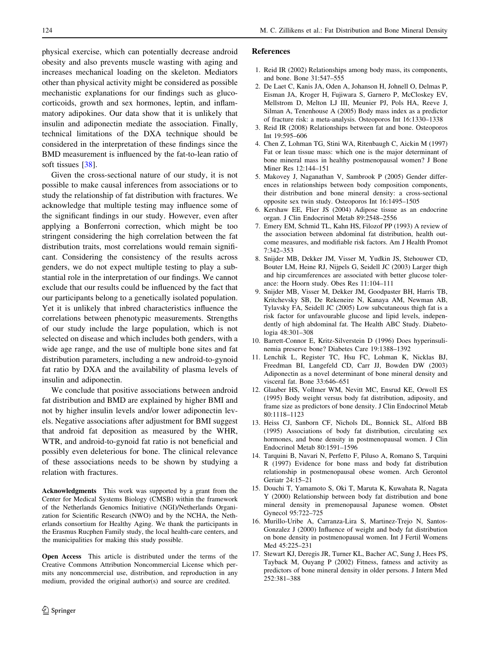<span id="page-8-0"></span>physical exercise, which can potentially decrease android obesity and also prevents muscle wasting with aging and increases mechanical loading on the skeleton. Mediators other than physical activity might be considered as possible mechanistic explanations for our findings such as glucocorticoids, growth and sex hormones, leptin, and inflammatory adipokines. Our data show that it is unlikely that insulin and adiponectin mediate the association. Finally, technical limitations of the DXA technique should be considered in the interpretation of these findings since the BMD measurement is influenced by the fat-to-lean ratio of soft tissues [[38\]](#page-9-0).

Given the cross-sectional nature of our study, it is not possible to make causal inferences from associations or to study the relationship of fat distribution with fractures. We acknowledge that multiple testing may influence some of the significant findings in our study. However, even after applying a Bonferroni correction, which might be too stringent considering the high correlation between the fat distribution traits, most correlations would remain significant. Considering the consistency of the results across genders, we do not expect multiple testing to play a substantial role in the interpretation of our findings. We cannot exclude that our results could be influenced by the fact that our participants belong to a genetically isolated population. Yet it is unlikely that inbred characteristics influence the correlations between phenotypic measurements. Strengths of our study include the large population, which is not selected on disease and which includes both genders, with a wide age range, and the use of multiple bone sites and fat distribution parameters, including a new android-to-gynoid fat ratio by DXA and the availability of plasma levels of insulin and adiponectin.

We conclude that positive associations between android fat distribution and BMD are explained by higher BMI and not by higher insulin levels and/or lower adiponectin levels. Negative associations after adjustment for BMI suggest that android fat deposition as measured by the WHR, WTR, and android-to-gynoid fat ratio is not beneficial and possibly even deleterious for bone. The clinical relevance of these associations needs to be shown by studying a relation with fractures.

Acknowledgments This work was supported by a grant from the Center for Medical Systems Biology (CMSB) within the framework of the Netherlands Genomics Initiative (NGI)/Netherlands Organization for Scientific Research (NWO) and by the NCHA, the Netherlands consortium for Healthy Aging. We thank the participants in the Erasmus Rucphen Family study, the local health-care centers, and the municipalities for making this study possible.

Open Access This article is distributed under the terms of the Creative Commons Attribution Noncommercial License which permits any noncommercial use, distribution, and reproduction in any medium, provided the original author(s) and source are credited.

- 1. Reid IR (2002) Relationships among body mass, its components, and bone. Bone 31:547–555
- 2. De Laet C, Kanis JA, Oden A, Johanson H, Johnell O, Delmas P, Eisman JA, Kroger H, Fujiwara S, Garnero P, McCloskey EV, Mellstrom D, Melton LJ III, Meunier PJ, Pols HA, Reeve J, Silman A, Tenenhouse A (2005) Body mass index as a predictor of fracture risk: a meta-analysis. Osteoporos Int 16:1330–1338
- 3. Reid IR (2008) Relationships between fat and bone. Osteoporos Int 19:595–606
- 4. Chen Z, Lohman TG, Stini WA, Ritenbaugh C, Aickin M (1997) Fat or lean tissue mass: which one is the major determinant of bone mineral mass in healthy postmenopausal women? J Bone Miner Res 12:144–151
- 5. Makovey J, Naganathan V, Sambrook P (2005) Gender differences in relationships between body composition components, their distribution and bone mineral density: a cross-sectional opposite sex twin study. Osteoporos Int 16:1495–1505
- 6. Kershaw EE, Flier JS (2004) Adipose tissue as an endocrine organ. J Clin Endocrinol Metab 89:2548–2556
- 7. Emery EM, Schmid TL, Kahn HS, Filozof PP (1993) A review of the association between abdominal fat distribution, health outcome measures, and modifiable risk factors. Am J Health Promot 7:342–353
- 8. Snijder MB, Dekker JM, Visser M, Yudkin JS, Stehouwer CD, Bouter LM, Heine RJ, Nijpels G, Seidell JC (2003) Larger thigh and hip circumferences are associated with better glucose tolerance: the Hoorn study. Obes Res 11:104–111
- 9. Snijder MB, Visser M, Dekker JM, Goodpaster BH, Harris TB, Kritchevsky SB, De Rekeneire N, Kanaya AM, Newman AB, Tylavsky FA, Seidell JC (2005) Low subcutaneous thigh fat is a risk factor for unfavourable glucose and lipid levels, independently of high abdominal fat. The Health ABC Study. Diabetologia 48:301–308
- 10. Barrett-Connor E, Kritz-Silverstein D (1996) Does hyperinsulinemia preserve bone? Diabetes Care 19:1388–1392
- 11. Lenchik L, Register TC, Hsu FC, Lohman K, Nicklas BJ, Freedman BI, Langefeld CD, Carr JJ, Bowden DW (2003) Adiponectin as a novel determinant of bone mineral density and visceral fat. Bone 33:646–651
- 12. Glauber HS, Vollmer WM, Nevitt MC, Ensrud KE, Orwoll ES (1995) Body weight versus body fat distribution, adiposity, and frame size as predictors of bone density. J Clin Endocrinol Metab 80:1118–1123
- 13. Heiss CJ, Sanborn CF, Nichols DL, Bonnick SL, Alford BB (1995) Associations of body fat distribution, circulating sex hormones, and bone density in postmenopausal women. J Clin Endocrinol Metab 80:1591–1596
- 14. Tarquini B, Navari N, Perfetto F, Piluso A, Romano S, Tarquini R (1997) Evidence for bone mass and body fat distribution relationship in postmenopausal obese women. Arch Gerontol Geriatr 24:15–21
- 15. Douchi T, Yamamoto S, Oki T, Maruta K, Kuwahata R, Nagata Y (2000) Relationship between body fat distribution and bone mineral density in premenopausal Japanese women. Obstet Gynecol 95:722–725
- 16. Murillo-Uribe A, Carranza-Lira S, Martinez-Trejo N, Santos-Gonzalez J (2000) Influence of weight and body fat distribution on bone density in postmenopausal women. Int J Fertil Womens Med 45:225–231
- 17. Stewart KJ, Deregis JR, Turner KL, Bacher AC, Sung J, Hees PS, Tayback M, Ouyang P (2002) Fitness, fatness and activity as predictors of bone mineral density in older persons. J Intern Med 252:381–388